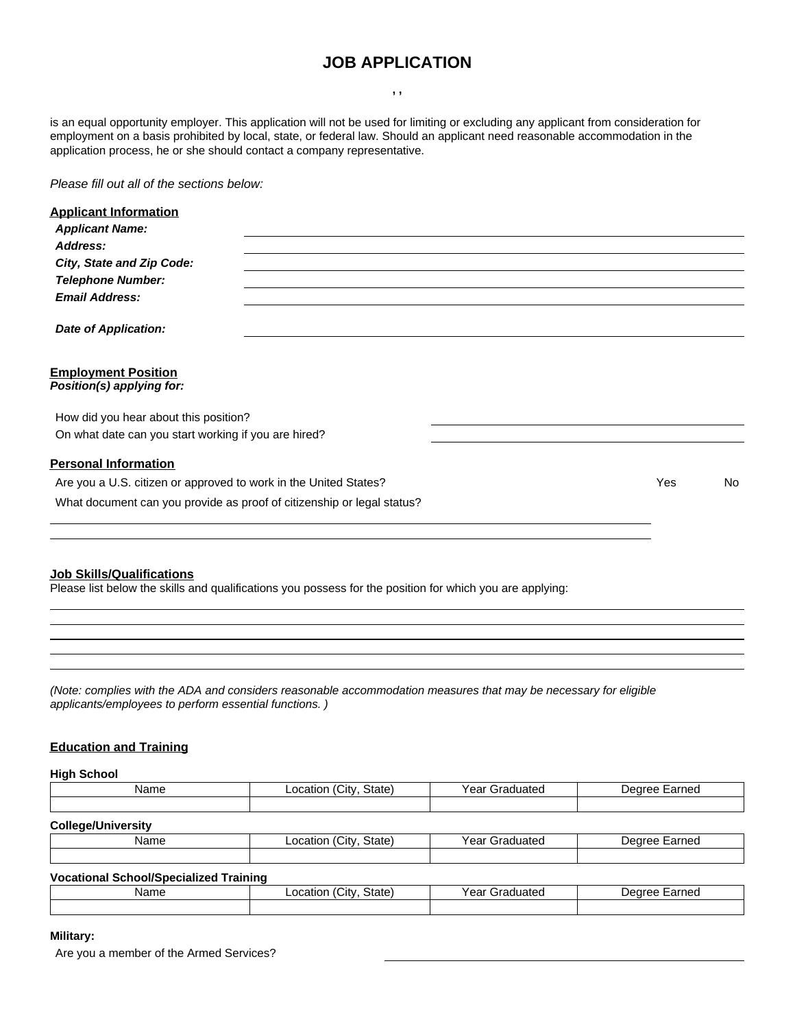# **JOB APPLICATION**

**, ,**

is an equal opportunity employer. This application will not be used for limiting or excluding any applicant from consideration for employment on a basis prohibited by local, state, or federal law. Should an applicant need reasonable accommodation in the application process, he or she should contact a company representative.

*Please fill out all of the sections below:*

| <b>Applicant Information</b>                                           |     |     |
|------------------------------------------------------------------------|-----|-----|
| <b>Applicant Name:</b>                                                 |     |     |
| Address:                                                               |     |     |
| City, State and Zip Code:                                              |     |     |
| <b>Telephone Number:</b>                                               |     |     |
| <b>Email Address:</b>                                                  |     |     |
| <b>Date of Application:</b>                                            |     |     |
| <b>Employment Position</b><br>Position(s) applying for:                |     |     |
| How did you hear about this position?                                  |     |     |
| On what date can you start working if you are hired?                   |     |     |
| <b>Personal Information</b>                                            |     |     |
| Are you a U.S. citizen or approved to work in the United States?       | Yes | No. |
| What document can you provide as proof of citizenship or legal status? |     |     |
|                                                                        |     |     |
|                                                                        |     |     |
|                                                                        |     |     |

#### **Job Skills/Qualifications**

Please list below the skills and qualifications you possess for the position for which you are applying:

<u> 1980 - Johann Barn, mars ar breist bestjórnar (</u>

*(Note: complies with the ADA and considers reasonable accommodation measures that may be necessary for eligible applicants/employees to perform essential functions. )*

## **Education and Training**

**High School**

| Name                      | Location (City, State) | Year Graduated | Degree Earned |  |  |
|---------------------------|------------------------|----------------|---------------|--|--|
|                           |                        |                |               |  |  |
| <b>College/University</b> |                        |                |               |  |  |
| Name                      | Location (Citv. State) | Year Graduated | Degree Earned |  |  |

| .                                             | 1000                   |                | -------------- |  |  |
|-----------------------------------------------|------------------------|----------------|----------------|--|--|
|                                               |                        |                |                |  |  |
| <b>Vocational School/Specialized Training</b> |                        |                |                |  |  |
| Name                                          | Location (City, State) | Year Graduated | Degree Earned  |  |  |

## **Military:**

Are you a member of the Armed Services?